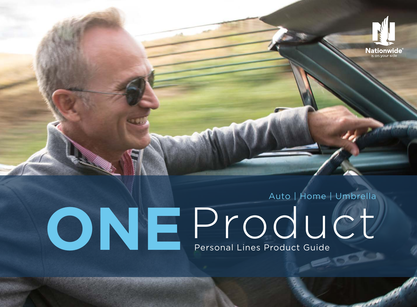

# ONEProduct Guide Auto | Home | Umbrella

Personal Lines Product Guide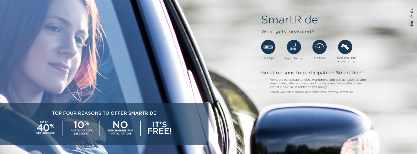**PARTICIPATION** DISCOUNT

 $\underset{\text{BISCOUNT}}{\text{10\%}} \qquad \underset{\text{BIRCHARGES FOR} \atop \text{PARTICIPATION}}{\text{NLO}} \qquad \underset{\text{FREFICIPATION} \atop \text{10\%}}{\text{ITS}}$ SURCHARGES FOR NO PARTICIPATION



# SmartRide®

 $40\%$ OFF PREMIUM

### TOP FOUR REASONS TO OFFER SMARTRIDE

• Members participating with smartphone app can activate the app immediately after enrolling, and the discount follows the driver even if a new car is added to the policy.

• SmartRide can increase bind rates and improve retention.



What gets measured?





### Great reasons to participate in SmartRide:





- 
-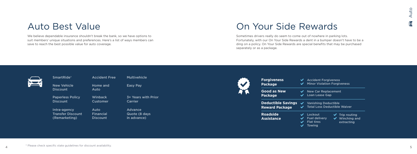# Auto Best Value

# On Your Side Rewards

We believe dependable insurance shouldn't break the bank, so we have options to suit members' unique situations and preferences. Here's a list of ways members can save to reach the best possible value for auto coverage.



**Forgive Package**

**Good** a **Package**

**Deduct Reward** 

**Roadsi Assista** 

Sometimes drivers really do seem to come out of nowhere in parking lots. Fortunately, with our On Your Side Rewards a dent in a bumper doesn't have to be a ding on a policy. On Your Side Rewards are special benefits that may be purchased separately or as a package.



SmartRide® New Vehicle **Discount** 

Auto Financial **Discount** 

| eness<br>e                            | <b>Accident Forgiveness</b><br><b>Minor Violation Forgiveness</b>          |  |                                                                              |  |  |  |
|---------------------------------------|----------------------------------------------------------------------------|--|------------------------------------------------------------------------------|--|--|--|
| s New<br>e                            | $\blacktriangleright$ New Car Replacement<br><b>Loan Lease Gap</b>         |  |                                                                              |  |  |  |
| <b>ible Savings</b><br><b>Package</b> | $\checkmark$ Vanishing Deductible<br><b>√</b> Total Loss Deductible Waiver |  |                                                                              |  |  |  |
| de<br>nce                             | Lockout<br><b>Fuel delivery</b><br><b>Flat tires</b><br><b>Towing</b>      |  | $\checkmark$ Trip routing<br>$\sqrt{\phantom{a}}$ Winching and<br>extracting |  |  |  |

Home and Auto

Easy Pay

Intra-agency Transfer Discount (Remarketing)

Accident Free Multivehicle

3+ Years with Prior Carrier

Paperless Policy

**Discount** 

Advance Quote (8 days in advance)



Winback Customer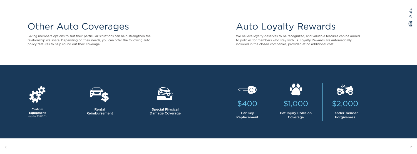# Other Auto Coverages

Giving members options to suit their particular situations can help strengthen the relationship we share. Depending on their needs, you can offer the following auto policy features to help round out their coverage.



# Auto Loyalty Rewards

We believe loyalty deserves to be recognized, and valuable features can be added to policies for members who stay with us. Loyalty Rewards are automatically included in the closed companies, provided at no additional cost.



Car Key Replacement

\$400

Pet Injury Collision Coverage



Fender-bender Forgiveness



Special Physical Damage Coverage



Rental Reimbursement



**Custom Equipment** (up to \$3,000)

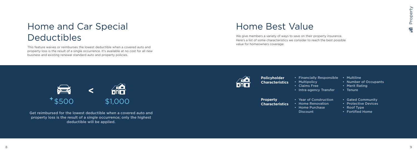# Home and Car Special **Deductibles**

This feature waives or reimburses the lowest deductible when a covered auto and property loss is the result of a single occurrence. It's available at no cost for all new business and existing renewal standard auto and property policies.



- Financially Responsible
- Multipolicy
- Claims Free
- Intra-agency Transfer
- Year of Construction
- Home Renovation
- Home Purchase **Discount**

Get reimbursed for the lowest deductible when a covered auto and property loss is the result of a single occurrence; only the highest deductible will be applied.

Property 忂

# Home Best Value

We give members a variety of ways to save on their property insurance. Here's a list of some characteristics we consider to reach the best possible value for homeowners coverage:



**Policyholder**

## **Characteristics**

**Property** 

**Characteristics**

- Multiline
- Number of Occupants
- Merit Rating
- Tenure
- Gated Community
- Protective Devices
- Roof Type
- Fortified Home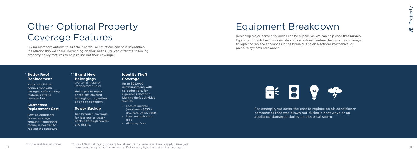# Equipment Breakdown

Replacing major home appliances can be expensive. We can help ease that burden. Equipment Breakdown is a new standalone optional feature that provides coverage to repair or replace appliances in the home due to an electrical, mechanical or pressure systems breakdown.

# Other Optional Property<br>
Coverage Features<br>
Equipment Breakdown<br>
Equipment Breakdown<br>
Experience<br>
Experience<br>
Experience<br>
Experience<br>
Experience<br>
Experience<br>
Experience<br>
Experience<br>
Experience<br>
Experience<br>
Experience<br>
Expe Other Optional Property Coverage Features

For example, we cover the cost to replace an air conditioner compressor that was blown out during a heat wave or an appliance damaged during an electrical storm.

Giving members options to suit their particular situations can help strengthen the relationship we share. Depending on their needs, you can offer the following property policy features to help round out their coverage:

### **\* Better Roof Replacement**

Helps rebuild the home's roof with stronger, safer roofing materials after a covered loss.

### **Guaranteed Replacement Cost**

Pays an additional home coverage amount if additional money is needed to rebuild the structure. Helps pay to repair or replace covered belongings, regardless of age or condition.

### **Sewer Backup**

Can broaden coverage for loss due to water backup through sewers and drains.

### **Identity Theft Coverage**

Up to \$25,000 reimbursement, with no deductible, for expenses related to identity theft activities such as:

- Loss of income (maximum \$250 a day, total of \$5,000)
- Loan reapplication fees
- Attorney fees

### **\*\* Brand New Belongings**

(Personal Property Replacement Cost)

\* Not available in all states \*\* Brand New Belongings is an optional feature. Exclusions and limits apply. Damaged items may be repaired in some cases. Details vary by state and policy language.

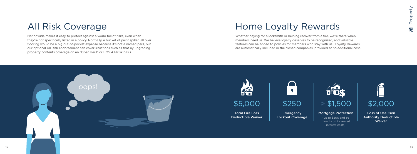# All Risk Coverage

Nationwide makes it easy to protect against a world full of risks, even when they're not specifically listed in a policy. Normally, a bucket of paint spilled all over flooring would be a big out-of-pocket expense because it's not a named peril, but our optional All Risk endorsement can cover situations such as that by upgrading property contents coverage on an "Open Peril" or HO5 All-Risk basis.



Loss of Use Civil Authority Deductible **Waiver** 

# Home Loyalty Rewards

Whether paying for a locksmith or helping recover from a fire, we're there when members need us. We believe loyalty deserves to be recognized, and valuable features can be added to policies for members who stay with us. Loyalty Rewards are automatically included in the closed companies, provided at no additional cost.

> Emergency Lockout Coverage





### Mortgage Protection

(up to \$300 and 36 months on increased interest costs)

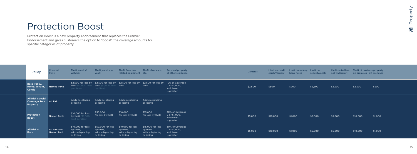# Protection Boost

Protection Boost is a new property endorsement that replaces the Premier Endorsement and gives customers the option to "boost" the coverage amounts for specific categories of property.

| <b>Policy</b>                                                  | <b>Covered</b><br><b>Perils</b>    | Theft jewelry/<br>watches                                      | Theft jewelry in<br>vault                                                                                                                                       | Theft firearms/<br>related equipment etc.                      | Theft silverware,                                              | <b>Personal property</b><br>at other residence              | <b>Cameras</b> | cards/forgery bank notes | Limit on credit Limit on money, Limit on | security/accts | Limit on trailers, Theft of business property<br>not watercraft | on premises off premises |         |
|----------------------------------------------------------------|------------------------------------|----------------------------------------------------------------|-----------------------------------------------------------------------------------------------------------------------------------------------------------------|----------------------------------------------------------------|----------------------------------------------------------------|-------------------------------------------------------------|----------------|--------------------------|------------------------------------------|----------------|-----------------------------------------------------------------|--------------------------|---------|
| <b>Base Policy,</b><br>Home, Tenant,<br>Condo                  | Named Perils                       | per item)                                                      | \$2,500 for loss by \$2,500 for loss by \$2,500 for loss by \$2,500 for loss by 10% of Coverage<br>theft (\$1,000 limit theft (\$1,000 limit theft<br>per item) |                                                                | theft                                                          | C or \$1,000,<br>whichever<br>is greater                    | \$2,500        | \$500                    | \$200                                    | \$2,500        | \$2,500                                                         | \$2,500                  | \$500   |
| <b>All Risk Special</b><br>Coverage Pers. All Risk<br>Property |                                    | <b>Adds misplacing</b><br>or losing                            | <b>Adds misplacing</b><br>or losing                                                                                                                             | Adds misplacing<br>or losing                                   | <b>Adds misplacing</b><br>or losing                            |                                                             |                |                          |                                          |                |                                                                 |                          |         |
| Protection<br><b>Boost</b>                                     | <b>Named Perils</b>                | \$10,000 for loss<br>by theft<br>limit per item)               | \$50,000<br>for loss by theft                                                                                                                                   | \$10,000<br>for loss by theft                                  | \$15,000<br>for loss by theft                                  | 30% of Coverage<br>C or \$1,000,<br>whichever<br>is greater | \$5,000        | \$10,000                 | \$1,000                                  | \$5,000        | \$5,000                                                         | \$10,000                 | \$1,000 |
| All Risk +<br><b>Boost</b>                                     | All Risk and<br><b>Named Peril</b> | \$10,000 for loss<br>by theft,<br>adds misplacing<br>or losing | \$50,000 for loss<br>by theft,<br>adds misplacing<br>or losing                                                                                                  | \$10,000 for loss<br>by theft,<br>adds misplacing<br>or losing | \$15,000 for loss<br>by theft,<br>adds misplacing<br>or losing | 30% of Coverage<br>C or \$1,000,<br>whichever<br>is greater | \$5,000        | \$10,000                 | \$1,000                                  | \$5,000        | \$5,000                                                         | \$10,000                 | \$1,000 |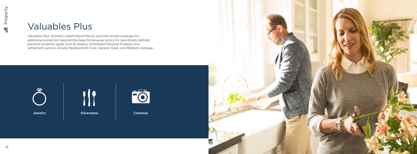Valuables Plus, formerly called Inland Marine, provides broad coverage for additional protection beyond the base homeowner policy for specifically defined personal property types such as jewelry. Scheduled Personal Property loss settlement options include Replacement Cost, Agreed Value, and Blanket coverage.







# Valuables Plus



a standard automobile

÷,

31% av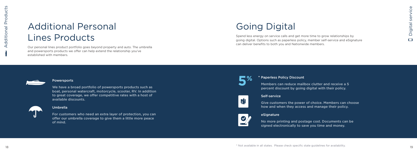# Additional Personal Lines Products

Our personal lines product portfolio goes beyond property and auto. The umbrella and powersports products we offer can help extend the relationship you've established with members.

### Powersports

We have a broad portfolio of powersports products such as boat, personal watercraft, motorcycle, scooter, RV. In addition to great coverage, we offer competitive rates with a host of available discounts.



### Umbrella

For customers who need an extra layer of protection, you can offer our umbrella coverage to give them a little more peace of mind.

# Going Digital

Spend less energy on service calls and get more time to grow relationships by going digital. Options such as paperless policy, member self-service and eSignature can deliver benefits to both you and Nationwide members.



### Self-service

Give customers the power of choice. Members can choose how and when they access and manage their policy.

### **\*** Paperless Policy Discount

Members can reduce mailbox clutter and receive a 5 percent discount by going digital with their policy.



 $\mathcal{O}/\hbar$ 

No more printing and postage cost. Documents can be signed electronically to save you time and money.







\* Not available in all states. Please check specific state guidelines for availability.